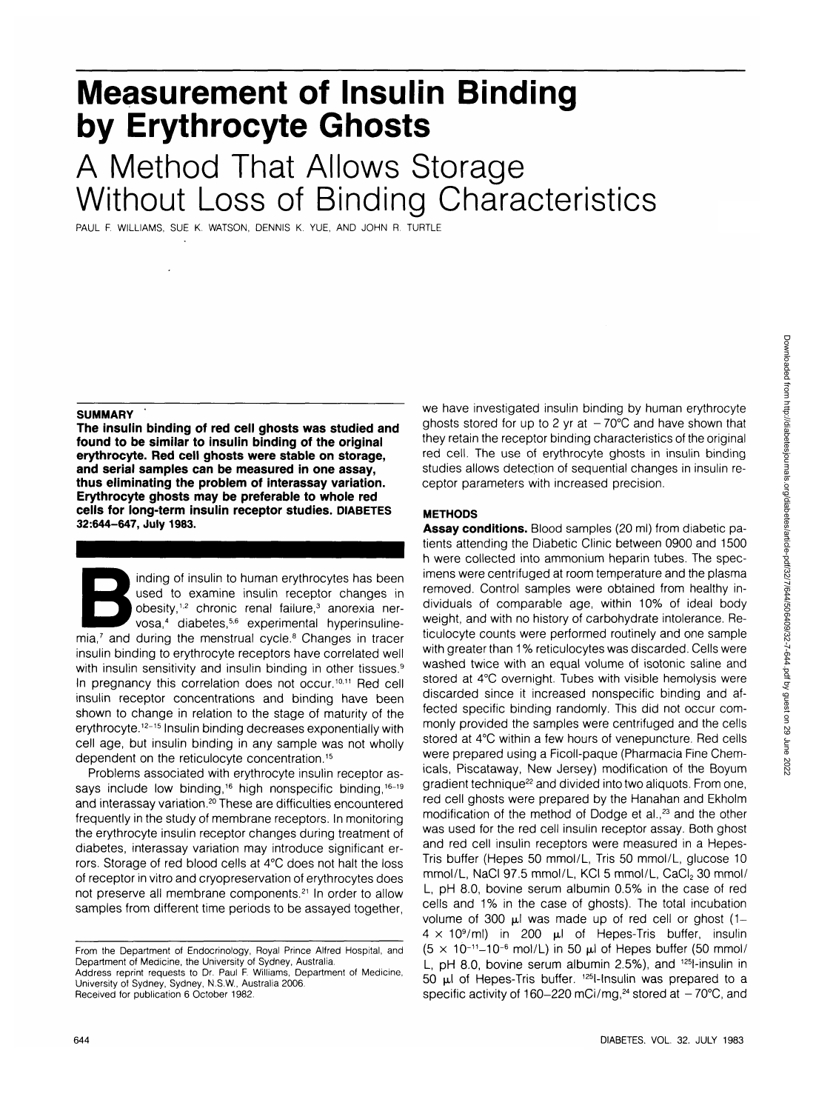# **Measurement of Insulin Binding by Erythrocyte Ghosts**

## A Method That Allows Storage Without Loss of Binding Characteristics

PAUL F. WILLIAMS, SUE K. WATSON, DENNIS K. YUE, AND JOHN R. TURTLE

#### **SUMMARY**

 $\overline{a}$ 

**The insulin binding of red cell ghosts was studied and found to be similar to insulin binding of the original erythrocyte. Red cell ghosts were stable on storage, and serial samples can be measured in one assay, thus eliminating the problem of interassay variation. Erythrocyte ghosts may be preferable to whole red cells for long-term insulin receptor studies. DIABETES 32:644-647, July 1983.**

inding of insulin to human erythrocytes has been<br>used to examine insulin receptor changes in<br>obesity,<sup>1,2</sup> chronic renal failure,<sup>3</sup> anorexia ner-<br>vosa,<sup>4</sup> diabetes,<sup>5,6</sup> experimental hyperinsuline-<br>mia,<sup>7</sup> and during the used to examine insulin receptor changes in obesity,<sup>1,2</sup> chronic renal failure,<sup>3</sup> anorexia nervosa,<sup>4</sup> diabetes,<sup>5,6</sup> experimental hyperinsulineinsulin binding to erythrocyte receptors have correlated well with insulin sensitivity and insulin binding in other tissues.<sup>9</sup> In pregnancy this correlation does not occur.<sup>10,11</sup> Red cell insulin receptor concentrations and binding have been shown to change in relation to the stage of maturity of the erythrocyte.<sup>12-15</sup> Insulin binding decreases exponentially with cell age, but insulin binding in any sample was not wholly dependent on the reticulocyte concentration.<sup>15</sup>

Problems associated with erythrocyte insulin receptor assays include low binding,<sup>16</sup> high nonspecific binding,<sup>16-19</sup> and interassay variation.<sup>20</sup> These are difficulties encountered frequently in the study of membrane receptors. In monitoring the erythrocyte insulin receptor changes during treatment of diabetes, interassay variation may introduce significant errors. Storage of red blood cells at 4°C does not halt the loss of receptor in vitro and cryopreservation of erythrocytes does not preserve all membrane components.<sup>21</sup> In order to allow samples from different time periods to be assayed together,

Address reprint requests to Dr. Paul F. Williams, Department of Medicine, University of Sydney, Sydney, N.S.W., Australia 2006. Received for publication 6 October 1982.

we have investigated insulin binding by human erythrocyte ghosts stored for up to 2 yr at  $-70^{\circ}$ C and have shown that they retain the receptor binding characteristics of the original red cell. The use of erythrocyte ghosts in insulin binding studies allows detection of sequential changes in insulin receptor parameters with increased precision.

## **METHODS**

**Assay conditions.** Blood samples (20 ml) from diabetic patients attending the Diabetic Clinic between 0900 and 1500 h were collected into ammonium heparin tubes. The specimens were centrifuged at room temperature and the plasma removed. Control samples were obtained from healthy individuals of comparable age, within 10% of ideal body weight, and with no history of carbohydrate intolerance. Reticulocyte counts were performed routinely and one sample with greater than 1% reticulocytes was discarded. Cells were washed twice with an equal volume of isotonic saline and stored at 4°C overnight. Tubes with visible hemolysis were discarded since it increased nonspecific binding and affected specific binding randomly. This did not occur commonly provided the samples were centrifuged and the cells stored at 4°C within a few hours of venepuncture. Red cells were prepared using a Ficoll-paque (Pharmacia Fine Chemicals, Piscataway, New Jersey) modification of the Boyum reality into all and the servery measurement of the Beyannelium of the Beyannelium of the Beyannelium of the Beyannelium of the Beyannelium of the Beyannelium of the Beyannelium of the Beyannelium of the Beyannelium of the red cell ghosts were prepared by the Hanahan and Ekholm modification of the method of Dodge et al.<sup>23</sup> and the other was used for the red cell insulin receptor assay. Both ghost and red cell insulin receptors were measured in a Hepes-Tris buffer (Hepes 50 mmol/L, Tris 50 mmol/L, glucose 10 mmol/L, NaCl 97.5 mmol/L, KCI 5 mmol/L, CaCl, 30 mmol/ L, pH 8.0, bovine serum albumin 0.5% in the case of red cells and 1% in the case of ghosts). The total incubation volume of 300  $\mu$  was made up of red cell or ghost (1volume of 300  $\mu$  was made up of fed centrol grips  $(1 (5 \times 10^{7} \text{H})$  in zuu ju ur nepes ms builet, insulin  $\sigma$   $\times$  10  $-$  10  $\sigma$  mon/L) in 50  $\mu$  0. Hepes buner (50 mmon)<br>Used 1.8.0, boving serve albumin 2.5%), and 125 insulin in  $50 \leq t \leq 50$  is the Tris buffer.  $125$ l-lnsulin was prepared to a specific activity of 160-220 mCi/mg,<sup>24</sup> specific activity of 160–220 mCi/mg,<sup>24</sup> stored at  $-70^{\circ}$ C, and

From the Department of Endocrinology, Royal Prince Alfred Hospital, and Department of Medicine, the University of Sydney, Australia.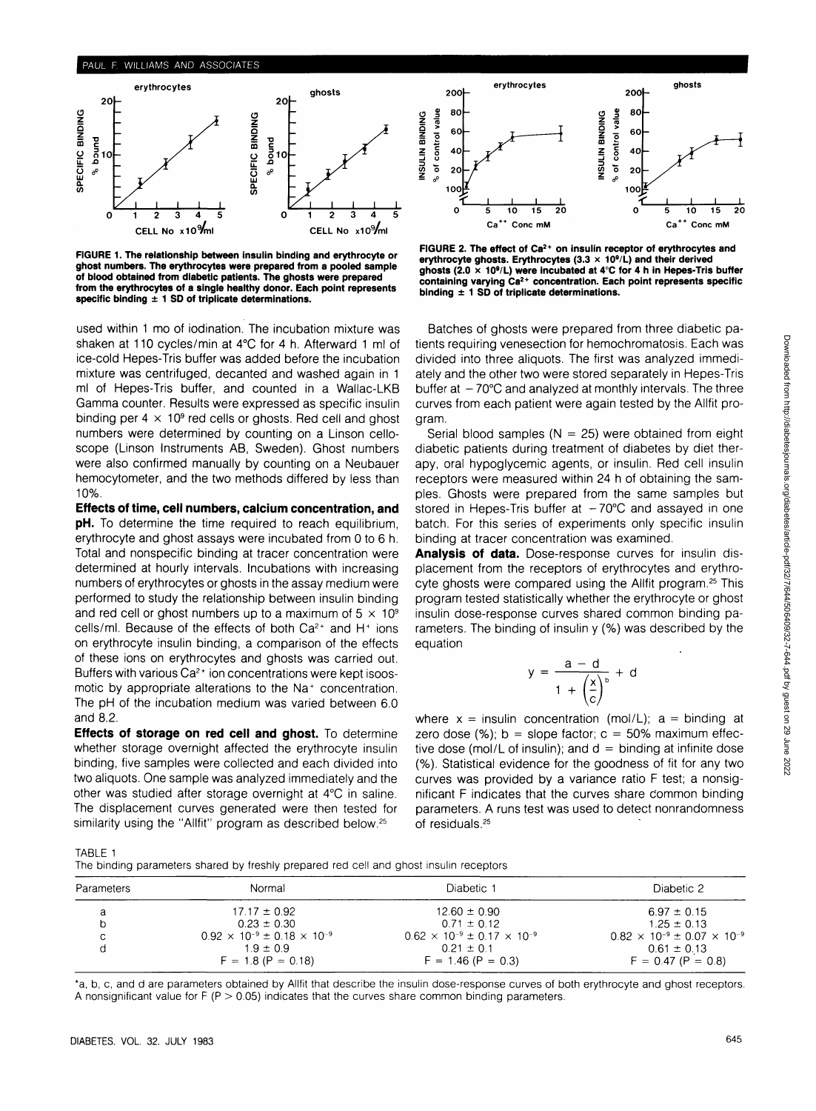

**FIGURE 1. The relationship between insulin binding and erythrocyte or ghost numbers. The erythrocytes were prepared from a pooled sample of blood obtained from diabetic patients. The ghosts were prepared from the erythrocytes of a single healthy donor. Each point represents specific binding ± 1 SD of triplicate determinations.**

used within 1 mo of iodination. The incubation mixture was shaken at 110 cycles/min at 4°C for 4 h. Afterward 1 ml of ice-cold Hepes-Tris buffer was added before the incubation mixture was centrifuged, decanted and washed again in 1 ml of Hepes-Tris buffer, and counted in a Wallac-LKB Gamma counter. Results were expressed as specific insulin binding per 4  $\times$  10<sup>9</sup> red cells or ghosts. Red cell and ghost numbers were determined by counting on a Linson celloscope (Linson Instruments AB, Sweden). Ghost numbers were also confirmed manually by counting on a Neubauer hemocytometer, and the two methods differed by less than 10%.

**Effects of time, cell numbers, calcium concentration, and pH.** To determine the time required to reach equilibrium, erythrocyte and ghost assays were incubated from 0 to 6 h. Total and nonspecific binding at tracer concentration were determined at hourly intervals. Incubations with increasing numbers of erythrocytes or ghosts in the assay medium were performed to study the relationship between insulin binding and red cell or ghost numbers up to a maximum of  $5 \times 10^9$ cells/ml. Because of the effects of both  $Ca^{2+}$  and H<sup>+</sup> ions on erythrocyte insulin binding, a comparison of the effects of these ions on erythrocytes and ghosts was carried out. Buffers with various Ca<sup>2+</sup> ion concentrations were kept isoosmotic by appropriate alterations to the Na<sup>+</sup> concentration. The pH of the incubation medium was varied between 6.0 and 8.2.

**Effects of storage on red cell and ghost.** To determine whether storage overnight affected the erythrocyte insulin binding, five samples were collected and each divided into two aliquots. One sample was analyzed immediately and the other was studied after storage overnight at 4°C in saline. The displacement curves generated were then tested for similarity using the "Allfit" program as described below.<sup>25</sup>



**FIGURE 2. The effect of Ca2+ on insulin receptor of erythrocytes and erythrocyte ghosts. Erythrocytes (3.3 x 10<sup>9</sup> /L) and their derived ghosts (2.0 x 10<sup>9</sup> /L) were incubated at 4°C for 4 h in Hepes-Tris buffer containing varying Ca2+ concentration. Each point represents specific binding ± 1 SD of triplicate determinations.**

Batches of ghosts were prepared from three diabetic patients requiring venesection for hemochromatosis. Each was divided into three aliquots. The first was analyzed immediately and the other two were stored separately in Hepes-Tris buffer at  $-70^{\circ}$ C and analyzed at monthly intervals. The three curves from each patient were again tested by the Allfit program.

Serial blood samples ( $N = 25$ ) were obtained from eight diabetic patients during treatment of diabetes by diet therapy, oral hypoglycemic agents, or insulin. Red cell insulin receptors were measured within 24 h of obtaining the samples. Ghosts were prepared from the same samples but stored in Hepes-Tris buffer at  $-70^{\circ}$ C and assayed in one batch. For this series of experiments only specific insulin binding at tracer concentration was examined.

**Analysis of data.** Dose-response curves for insulin displacement from the receptors of erythrocytes and erythrocyte ghosts were compared using the Allfit program.<sup>25</sup> This program tested statistically whether the erythrocyte or ghost insulin dose-response curves shared common binding parameters. The binding of insulin y (%) was described by the equation

$$
y = \frac{a - d}{1 + \left(\frac{x}{c}\right)^b} + d
$$

where  $x =$  insulin concentration (mol/L);  $a =$  binding at zero dose (%);  $b =$  slope factor;  $c = 50\%$  maximum effective dose (mol/L of insulin); and  $d =$  binding at infinite dose (%). Statistical evidence for the goodness of fit for any two curves was provided by a variance ratio F test; a nonsignificant F indicates that the curves share Common binding parameters. A runs test was used to detect nonrandomness of residuals.25

TABLE 1

The binding parameters shared by freshly prepared red cell and ghost insulin receptors

| Parameters | Normal                                        | Diabetic 1                                    | Diabetic 2                                    |
|------------|-----------------------------------------------|-----------------------------------------------|-----------------------------------------------|
| a          | $17.17 \pm 0.92$                              | $12.60 \pm 0.90$                              | $6.97 \pm 0.15$                               |
|            | $0.23 \pm 0.30$                               | $0.71 \pm 0.12$                               | $1.25 \pm 0.13$                               |
| C          | $0.92 \times 10^{-9} \pm 0.18 \times 10^{-9}$ | $0.62 \times 10^{-9} \pm 0.17 \times 10^{-9}$ | $0.82 \times 10^{-9} \pm 0.07 \times 10^{-9}$ |
|            | $1.9 \pm 0.9$                                 | $0.21 \pm 0.1$                                | $0.61 \pm 0.13$                               |
|            | $F = 1.8 (P = 0.18)$                          | $F = 1.46 (P = 0.3)$                          | $F = 0.47 (P = 0.8)$                          |

\*a, b, c, and d are parameters obtained by Allfit that describe the insulin dose-response curves of both erythrocyte and ghost receptors. A nonsignificant value for  $F(P > 0.05)$  indicates that the curves share common binding parameters.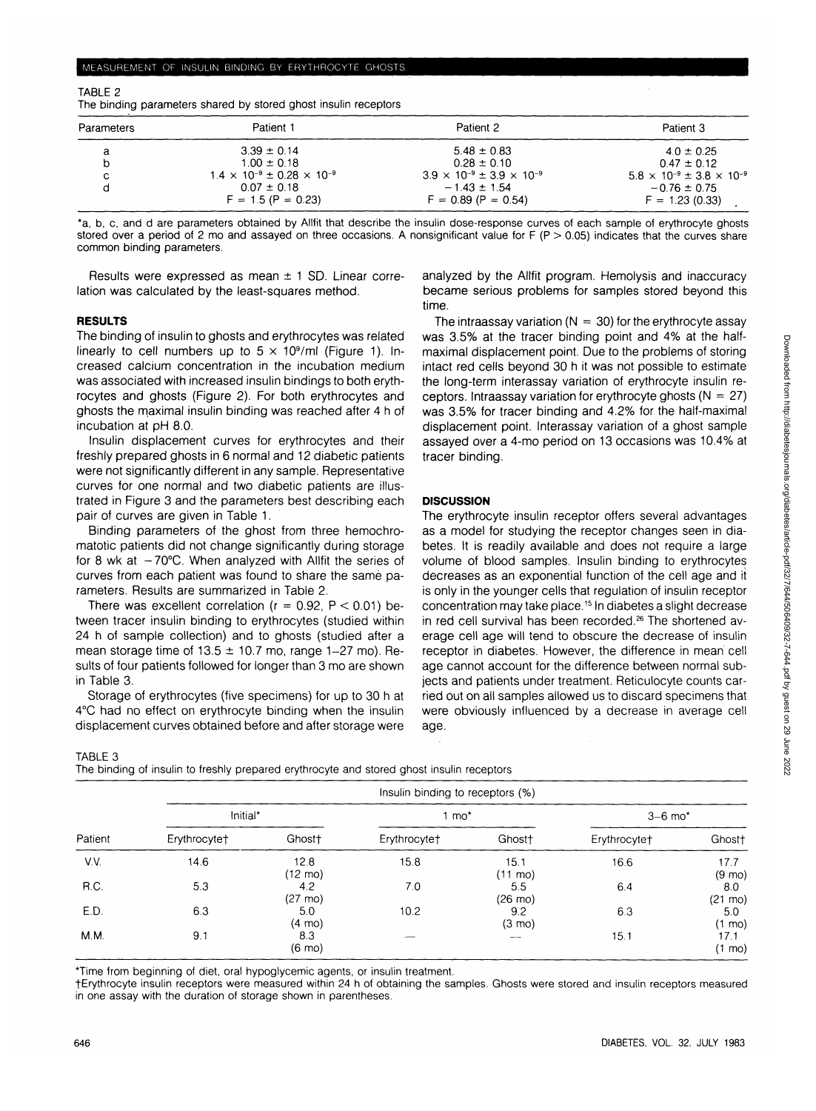| . .        |                                              |                                             |                                             |
|------------|----------------------------------------------|---------------------------------------------|---------------------------------------------|
| Parameters | Patient 1                                    | Patient 2                                   | Patient 3                                   |
|            | $3.39 \pm 0.14$                              | $5.48 \pm 0.83$                             | $4.0 \pm 0.25$                              |
|            | $1.00 \pm 0.18$                              | $0.28 \pm 0.10$                             | $0.47 \pm 0.12$                             |
| с          | $1.4 \times 10^{-9} \pm 0.28 \times 10^{-9}$ | $3.9 \times 10^{-9} \pm 3.9 \times 10^{-9}$ | $5.8 \times 10^{-9} \pm 3.8 \times 10^{-9}$ |
|            | $0.07 \pm 0.18$                              | $-1.43 \pm 1.54$                            | $-0.76 \pm 0.75$                            |
|            | $F = 1.5 (P = 0.23)$                         | $F = 0.89 (P = 0.54)$                       | $F = 1.23(0.33)$                            |

TABLE 2 The binding parameters shared by stored ghost insulin receptors

\*a, b, c, and d are parameters obtained by Allfit that describe the insulin dose-response curves of each sample of erythrocyte ghosts stored over a period of 2 mo and assayed on three occasions. A nonsignificant value for  $F(P > 0.05)$  indicates that the curves share common binding parameters.

Results were expressed as mean  $\pm$  1 SD. Linear correlation was calculated by the least-squares method.

### **RESULTS**

The binding of insulin to ghosts and erythrocytes was related linearly to cell numbers up to  $5 \times 10^9$ /ml (Figure 1). Increased calcium concentration in the incubation medium was associated with increased insulin bindings to both erythrocytes and ghosts (Figure 2). For both erythrocytes and ghosts the maximal insulin binding was reached after 4 h of incubation at pH 8.0.

Insulin displacement curves for erythrocytes and their freshly prepared ghosts in 6 normal and 12 diabetic patients were not significantly different in any sample. Representative curves for one normal and two diabetic patients are illustrated in Figure 3 and the parameters best describing each pair of curves are given in Table 1.

Binding parameters of the ghost from three hemochromatotic patients did not change significantly during storage for 8 wk at  $-70^{\circ}$ C. When analyzed with Allfit the series of curves from each patient was found to share the same parameters. Results are summarized in Table 2.

There was excellent correlation ( $r = 0.92$ ,  $P < 0.01$ ) between tracer insulin binding to erythrocytes (studied within 24 h of sample collection) and to ghosts (studied after a mean storage time of  $13.5 \pm 10.7$  mo, range 1-27 mo). Results of four patients followed for longer than 3 mo are shown in Table 3.

Storage of erythrocytes (five specimens) for up to 30 h at 4°C had no effect on erythrocyte binding when the insulin displacement curves obtained before and after storage were

analyzed by the Allfit program. Hemolysis and inaccuracy became serious problems for samples stored beyond this time.

The intraassay variation ( $N = 30$ ) for the erythrocyte assay was 3.5% at the tracer binding point and 4% at the halfmaximal displacement point. Due to the problems of storing intact red cells beyond 30 h it was not possible to estimate the long-term interassay variation of erythrocyte insulin receptors. Intraassay variation for erythrocyte ghosts  $(N = 27)$ was 3.5% for tracer binding and 4.2% for the half-maximal displacement point. Interassay variation of a ghost sample assayed over a 4-mo period on 13 occasions was 10.4% at tracer binding.

### **DISCUSSION**

The erythrocyte insulin receptor offers several advantages as a model for studying the receptor changes seen in diabetes. It is readily available and does not require a large volume of blood samples. Insulin binding to erythrocytes decreases as an exponential function of the cell age and it is only in the younger cells that regulation of insulin receptor concentration may take place.15 In diabetes a slight decrease in red cell survival has been recorded.<sup>26</sup> The shortened average cell age will tend to obscure the decrease of insulin receptor in diabetes. However, the difference in mean cell age cannot account for the difference between normal subjects and patients under treatment. Reticulocyte counts carried out on all samples allowed us to discard specimens that were obviously influenced by a decrease in average cell age.

## TABLE 3

The binding of insulin to freshly prepared erythrocyte and stored ghost insulin receptors

| Patient | Insulin binding to receptors (%) |                           |                          |                           |                       |                          |  |  |
|---------|----------------------------------|---------------------------|--------------------------|---------------------------|-----------------------|--------------------------|--|--|
|         | Initial*                         |                           | $1 \text{ mo}^*$         |                           | $3-6$ mo <sup>*</sup> |                          |  |  |
|         | Erythrocyte <sup>+</sup>         | Ghost <sup>+</sup>        | Erythrocyte <sup>+</sup> | Ghost <sup>+</sup>        | Erythrocytet          | Ghost <sup>+</sup>       |  |  |
| V.V.    | 14.6                             | 12.8<br>$(12 \text{ mo})$ | 15.8                     | 15.1<br>$(11 \text{ mo})$ | 16.6                  | 17.7<br>$(9 \text{ mo})$ |  |  |
| R.C.    | 5.3                              | 4.2<br>$(27 \text{ mo})$  | 7.0                      | 5.5<br>$(26 \text{ mo})$  | 6.4                   | 8.0<br>$(21 \text{ mo})$ |  |  |
| E.D.    | 6.3                              | 5.0<br>$(4 \text{ mo})$   | 10.2                     | 9.2<br>$(3 \text{ mo})$   | 6.3                   | 5.0<br>$(1 \text{ mo})$  |  |  |
| M.M.    | 9.1                              | 8.3<br>$(6 \text{ mo})$   | --                       | $-$                       | 15.1                  | 17.1<br>(1 mo)           |  |  |

\*Time from beginning of diet, oral hypoglycemic agents, or insulin treatment.

fErythrocyte insulin receptors were measured within 24 h of obtaining the samples. Ghosts were stored and insulin receptors measured in one assay with the duration of storage shown in parentheses.